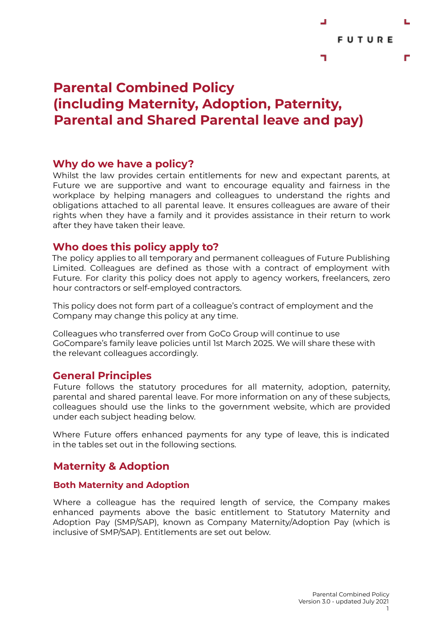

# **Parental Combined Policy (including Maternity, Adoption, Paternity, Parental and Shared Parental leave and pay)**

## **Why do we have a policy?**

Whilst the law provides certain entitlements for new and expectant parents, at Future we are supportive and want to encourage equality and fairness in the workplace by helping managers and colleagues to understand the rights and obligations attached to all parental leave. It ensures colleagues are aware of their rights when they have a family and it provides assistance in their return to work after they have taken their leave.

## **Who does this policy apply to?**

The policy applies to all temporary and permanent colleagues of Future Publishing Limited. Colleagues are defined as those with a contract of employment with Future. For clarity this policy does not apply to agency workers, freelancers, zero hour contractors or self-employed contractors.

This policy does not form part of a colleague's contract of employment and the Company may change this policy at any time.

Colleagues who transferred over from GoCo Group will continue to use GoCompare's family leave policies until 1st March 2025. We will share these with the relevant colleagues accordingly.

### **General Principles**

Future follows the statutory procedures for all maternity, adoption, paternity, parental and shared parental leave. For more information on any of these subjects, colleagues should use the links to the government website, which are provided under each subject heading below.

Where Future offers enhanced payments for any type of leave, this is indicated in the tables set out in the following sections.

# **Maternity & Adoption**

#### **Both Maternity and Adoption**

Where a colleague has the required length of service, the Company makes enhanced payments above the basic entitlement to Statutory Maternity and Adoption Pay (SMP/SAP), known as Company Maternity/Adoption Pay (which is inclusive of SMP/SAP). Entitlements are set out below.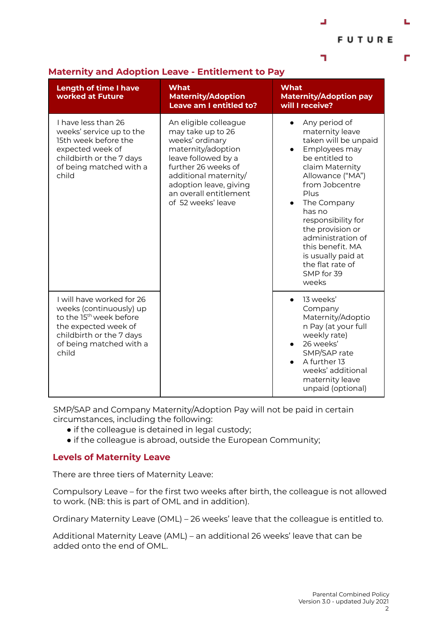**FUTURE** 

г

┙

┑

| <b>Length of time I have</b><br>worked at Future                                                                                                                                    | <b>What</b><br><b>Maternity/Adoption</b><br>Leave am I entitled to?                                                                                                                                                                  | <b>What</b><br><b>Maternity/Adoption pay</b><br>will I receive?                                                                                                                                                                                                                                                                                                     |
|-------------------------------------------------------------------------------------------------------------------------------------------------------------------------------------|--------------------------------------------------------------------------------------------------------------------------------------------------------------------------------------------------------------------------------------|---------------------------------------------------------------------------------------------------------------------------------------------------------------------------------------------------------------------------------------------------------------------------------------------------------------------------------------------------------------------|
| I have less than 26<br>weeks' service up to the<br>15th week before the<br>expected week of<br>childbirth or the 7 days<br>of being matched with a<br>child                         | An eligible colleague<br>may take up to 26<br>weeks' ordinary<br>maternity/adoption<br>leave followed by a<br>further 26 weeks of<br>additional maternity/<br>adoption leave, giving<br>an overall entitlement<br>of 52 weeks' leave | Any period of<br>$\bullet$<br>maternity leave<br>taken will be unpaid<br>Employees may<br>be entitled to<br>claim Maternity<br>Allowance ("MA")<br>from Jobcentre<br>Plus<br>The Company<br>$\bullet$<br>has no<br>responsibility for<br>the provision or<br>administration of<br>this benefit. MA<br>is usually paid at<br>the flat rate of<br>SMP for 39<br>weeks |
| I will have worked for 26<br>weeks (continuously) up<br>to the 15 <sup>th</sup> week before<br>the expected week of<br>childbirth or the 7 days<br>of being matched with a<br>child |                                                                                                                                                                                                                                      | 13 weeks'<br>$\bullet$<br>Company<br>Maternity/Adoptio<br>n Pay (at your full<br>weekly rate)<br>26 weeks'<br>$\bullet$<br>SMP/SAP rate<br>A further 13<br>$\bullet$<br>weeks' additional<br>maternity leave<br>unpaid (optional)                                                                                                                                   |

#### **Maternity and Adoption Leave - Entitlement to Pay**

SMP/SAP and Company Maternity/Adoption Pay will not be paid in certain circumstances, including the following:

- if the colleague is detained in legal custody;
- if the colleague is abroad, outside the European Community;

#### **Levels of Maternity Leave**

There are three tiers of Maternity Leave:

Compulsory Leave – for the first two weeks after birth, the colleague is not allowed to work. (NB: this is part of OML and in addition).

Ordinary Maternity Leave (OML) – 26 weeks' leave that the colleague is entitled to.

Additional Maternity Leave (AML) – an additional 26 weeks' leave that can be added onto the end of OML.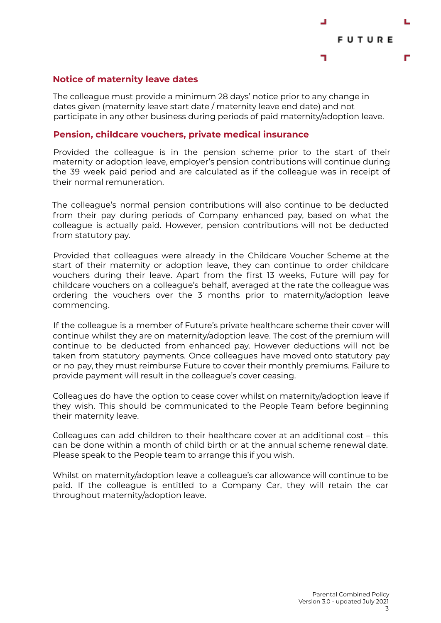

#### **Notice of maternity leave dates**

The colleague must provide a minimum 28 days' notice prior to any change in dates given (maternity leave start date / maternity leave end date) and not participate in any other business during periods of paid maternity/adoption leave.

#### **Pension, childcare vouchers, private medical insurance**

Provided the colleague is in the pension scheme prior to the start of their maternity or adoption leave, employer's pension contributions will continue during the 39 week paid period and are calculated as if the colleague was in receipt of their normal remuneration.

The colleague's normal pension contributions will also continue to be deducted from their pay during periods of Company enhanced pay, based on what the colleague is actually paid. However, pension contributions will not be deducted from statutory pay.

Provided that colleagues were already in the Childcare Voucher Scheme at the start of their maternity or adoption leave, they can continue to order childcare vouchers during their leave. Apart from the first 13 weeks, Future will pay for childcare vouchers on a colleague's behalf, averaged at the rate the colleague was ordering the vouchers over the 3 months prior to maternity/adoption leave commencing.

If the colleague is a member of Future's private healthcare scheme their cover will continue whilst they are on maternity/adoption leave. The cost of the premium will continue to be deducted from enhanced pay. However deductions will not be taken from statutory payments. Once colleagues have moved onto statutory pay or no pay, they must reimburse Future to cover their monthly premiums. Failure to provide payment will result in the colleague's cover ceasing.

Colleagues do have the option to cease cover whilst on maternity/adoption leave if they wish. This should be communicated to the People Team before beginning their maternity leave.

Colleagues can add children to their healthcare cover at an additional cost – this can be done within a month of child birth or at the annual scheme renewal date. Please speak to the People team to arrange this if you wish.

Whilst on maternity/adoption leave a colleague's car allowance will continue to be paid. If the colleague is entitled to a Company Car, they will retain the car throughout maternity/adoption leave.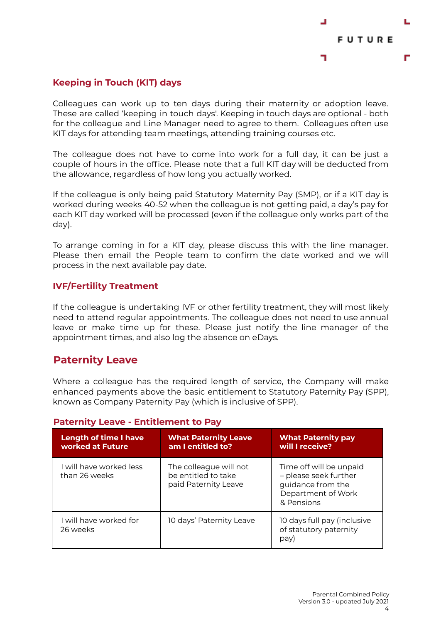

### **Keeping in Touch (KIT) days**

Colleagues can work up to ten days during their maternity or adoption leave. These are called 'keeping in touch days'. Keeping in touch days are optional - both for the colleague and Line Manager need to agree to them. Colleagues often use KIT days for attending team meetings, attending training courses etc.

The colleague does not have to come into work for a full day, it can be just a couple of hours in the office. Please note that a full KIT day will be deducted from the allowance, regardless of how long you actually worked.

If the colleague is only being paid Statutory Maternity Pay (SMP), or if a KIT day is worked during weeks 40-52 when the colleague is not getting paid, a day's pay for each KIT day worked will be processed (even if the colleague only works part of the day).

To arrange coming in for a KIT day, please discuss this with the line manager. Please then email the People team to confirm the date worked and we will process in the next available pay date.

#### **IVF/Fertility Treatment**

If the colleague is undertaking IVF or other fertility treatment, they will most likely need to attend regular appointments. The colleague does not need to use annual leave or make time up for these. Please just notify the line manager of the appointment times, and also log the absence on eDays.

# **Paternity Leave**

Where a colleague has the required length of service, the Company will make enhanced payments above the basic entitlement to Statutory Paternity Pay (SPP), known as Company Paternity Pay (which is inclusive of SPP).

| <b>Length of time I have</b><br>worked at Future | <b>What Paternity Leave</b><br>am I entitled to?                      | <b>What Paternity pay</b><br>will I receive?                                                              |
|--------------------------------------------------|-----------------------------------------------------------------------|-----------------------------------------------------------------------------------------------------------|
| I will have worked less<br>than 26 weeks         | The colleague will not<br>be entitled to take<br>paid Paternity Leave | Time off will be unpaid<br>- please seek further<br>guidance from the<br>Department of Work<br>& Pensions |
| I will have worked for<br>26 weeks               | 10 days' Paternity Leave                                              | 10 days full pay (inclusive<br>of statutory paternity<br>pay)                                             |

### **Paternity Leave - Entitlement to Pay**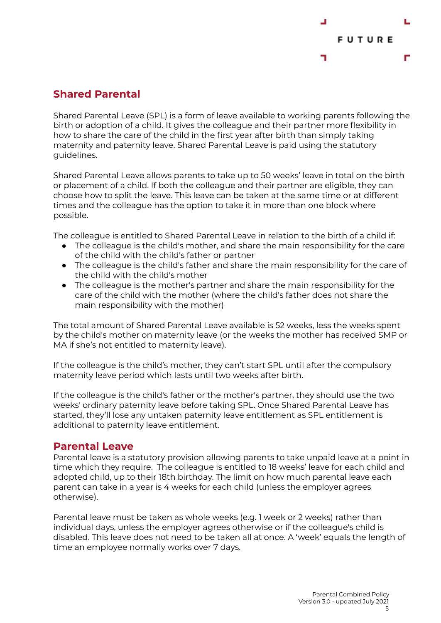

# **Shared Parental**

Shared Parental Leave (SPL) is a form of leave available to working parents following the birth or adoption of a child. It gives the colleague and their partner more flexibility in how to share the care of the child in the first year after birth than simply taking maternity and paternity leave. Shared Parental Leave is paid using the statutory guidelines.

Shared Parental Leave allows parents to take up to 50 weeks' leave in total on the birth or placement of a child. If both the colleague and their partner are eligible, they can choose how to split the leave. This leave can be taken at the same time or at different times and the colleague has the option to take it in more than one block where possible.

The colleague is entitled to Shared Parental Leave in relation to the birth of a child if:

- The colleague is the child's mother, and share the main responsibility for the care of the child with the child's father or partner
- The colleague is the child's father and share the main responsibility for the care of the child with the child's mother
- The colleague is the mother's partner and share the main responsibility for the care of the child with the mother (where the child's father does not share the main responsibility with the mother)

The total amount of Shared Parental Leave available is 52 weeks, less the weeks spent by the child's mother on maternity leave (or the weeks the mother has received SMP or MA if she's not entitled to maternity leave).

If the colleague is the child's mother, they can't start SPL until after the compulsory maternity leave period which lasts until two weeks after birth.

If the colleague is the child's father or the mother's partner, they should use the two weeks' ordinary paternity leave before taking SPL. Once Shared Parental Leave has started, they'll lose any untaken paternity leave entitlement as SPL entitlement is additional to paternity leave entitlement.

# **Parental Leave**

Parental leave is a statutory provision allowing parents to take unpaid leave at a point in time which they require. The colleague is entitled to 18 weeks' leave for each child and adopted child, up to their 18th birthday. The limit on how much parental leave each parent can take in a year is 4 weeks for each child (unless the employer agrees otherwise).

Parental leave must be taken as whole weeks (e.g. 1 week or 2 weeks) rather than individual days, unless the employer agrees otherwise or if the colleague's child is disabled. This leave does not need to be taken all at once. A 'week' equals the length of time an employee normally works over 7 days.